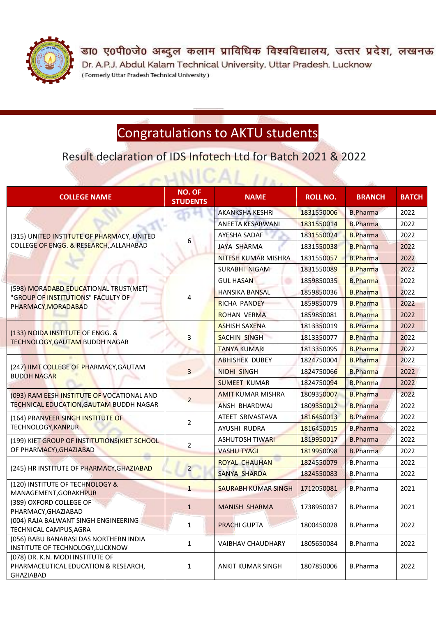

डा0 ए0पी0जे0 अब्दुल कलाम प्राविधिक विश्वविद्यालय, उत्तर प्रदेश, लखनऊ Dr. A.P.J. Abdul Kalam Technical University, Uttar Pradesh, Lucknow (Formerly Uttar Pradesh Technical University)

## Congratulations to AKTU students

Result declaration of IDS Infotech Ltd for Batch 2021 & 2022

 $\sim$ LINICAI

| <b>COLLEGE NAME</b>                                                                                | <b>NO. OF</b><br><b>STUDENTS</b> | <b>NAME</b>                | <b>ROLL NO.</b> | <b>BRANCH</b>   | <b>BATCH</b> |
|----------------------------------------------------------------------------------------------------|----------------------------------|----------------------------|-----------------|-----------------|--------------|
| (315) UNITED INSTITUTE OF PHARMACY, UNITED<br>COLLEGE OF ENGG. & RESEARCH, ALLAHABAD               | 6                                | <b>AKANKSHA KESHRI</b>     | 1831550006      | <b>B.Pharma</b> | 2022         |
|                                                                                                    |                                  | <b>ANEETA KESARWANI</b>    | 1831550014      | <b>B.Pharma</b> | 2022         |
|                                                                                                    |                                  | AYESHA SADAF               | 1831550024      | <b>B.Pharma</b> | 2022         |
|                                                                                                    |                                  | <b>JAYA SHARMA</b>         | 1831550038      | <b>B.Pharma</b> | 2022         |
|                                                                                                    |                                  | NITESH KUMAR MISHRA        | 1831550057      | <b>B.Pharma</b> | 2022         |
|                                                                                                    |                                  | <b>SURABHI NIGAM</b>       | 1831550089      | <b>B.Pharma</b> | 2022         |
| (598) MORADABD EDUCATIONAL TRUST(MET)<br>"GROUP OF INSTITUTIONS" FACULTY OF<br>PHARMACY, MORADABAD | 4                                | <b>GUL HASAN</b>           | 1859850035      | <b>B.Pharma</b> | 2022         |
|                                                                                                    |                                  | <b>HANSIKA BANSAL</b>      | 1859850036      | <b>B.Pharma</b> | 2022         |
|                                                                                                    |                                  | <b>RICHA PANDEY</b>        | 1859850079      | <b>B.Pharma</b> | 2022         |
|                                                                                                    |                                  | <b>ROHAN VERMA</b>         | 1859850081      | <b>B.Pharma</b> | 2022         |
| (133) NOIDA INSTITUTE OF ENGG. &<br>TECHNOLOGY, GAUTAM BUDDH NAGAR                                 | 3                                | <b>ASHISH SAXENA</b>       | 1813350019      | <b>B.Pharma</b> | 2022         |
|                                                                                                    |                                  | <b>SACHIN SINGH</b>        | 1813350077      | <b>B.Pharma</b> | 2022         |
|                                                                                                    |                                  | <b>TANYA KUMARI</b>        | 1813350095      | <b>B.Pharma</b> | 2022         |
| (247) IIMT COLLEGE OF PHARMACY, GAUTAM<br><b>BUDDH NAGAR</b>                                       | $\overline{3}$                   | <b>ABHISHEK DUBEY</b>      | 1824750004      | <b>B.Pharma</b> | 2022         |
|                                                                                                    |                                  | <b>NIDHI SINGH</b>         | 1824750066      | <b>B.Pharma</b> | 2022         |
|                                                                                                    |                                  | <b>SUMEET KUMAR</b>        | 1824750094      | <b>B.Pharma</b> | 2022         |
| (093) RAM EESH INSTITUTE OF VOCATIONAL AND<br>TECHNICAL EDUCATION, GAUTAM BUDDH NAGAR              | $\overline{2}$                   | <b>AMIT KUMAR MISHRA</b>   | 1809350007      | <b>B.Pharma</b> | 2022         |
|                                                                                                    |                                  | ANSH BHARDWAJ              | 1809350012      | <b>B.Pharma</b> | 2022         |
| (164) PRANVEER SINGH INSTITUTE OF<br><b>TECHNOLOGY, KANPUR</b>                                     | 2                                | ATEET SRIVASTAVA           | 1816450013      | <b>B.Pharma</b> | 2022         |
|                                                                                                    |                                  | AYUSHI RUDRA               | 1816450015      | <b>B.Pharma</b> | 2022         |
| (199) KIET GROUP OF INSTITUTIONS(KIET SCHOOL                                                       | 2                                | <b>ASHUTOSH TIWARI</b>     | 1819950017      | <b>B.Pharma</b> | 2022         |
| OF PHARMACY), GHAZIABAD                                                                            |                                  | <b>VASHU TYAGI</b>         | 1819950098      | <b>B.Pharma</b> | 2022         |
|                                                                                                    | $\overline{2}$                   | <b>ROYAL CHAUHAN</b>       | 1824550079      | <b>B.Pharma</b> | 2022         |
| (245) HR INSTITUTE OF PHARMACY, GHAZIABAD                                                          |                                  | <b>SANYA SHARDA</b>        | 1824550083      | <b>B.Pharma</b> | 2022         |
| (120) INSTITUTE OF TECHNOLOGY &<br>MANAGEMENT, GORAKHPUR                                           | $\mathbf{1}$                     | <b>SAURABH KUMAR SINGH</b> | 1712050081      | <b>B.Pharma</b> | 2021         |
| (389) OXFORD COLLEGE OF<br>PHARMACY, GHAZIABAD                                                     | $\mathbf{1}$                     | <b>MANISH SHARMA</b>       | 1738950037      | <b>B.Pharma</b> | 2021         |
| (004) RAJA BALWANT SINGH ENGINEERING<br>TECHNICAL CAMPUS, AGRA                                     | $\mathbf{1}$                     | <b>PRACHI GUPTA</b>        | 1800450028      | <b>B.Pharma</b> | 2022         |
| (056) BABU BANARASI DAS NORTHERN INDIA<br>INSTITUTE OF TECHNOLOGY, LUCKNOW                         | $\mathbf{1}$                     | <b>VAIBHAV CHAUDHARY</b>   | 1805650084      | <b>B.Pharma</b> | 2022         |
| (078) DR. K.N. MODI INSTITUTE OF<br>PHARMACEUTICAL EDUCATION & RESEARCH,<br>GHAZIABAD              | 1                                | <b>ANKIT KUMAR SINGH</b>   | 1807850006      | <b>B.Pharma</b> | 2022         |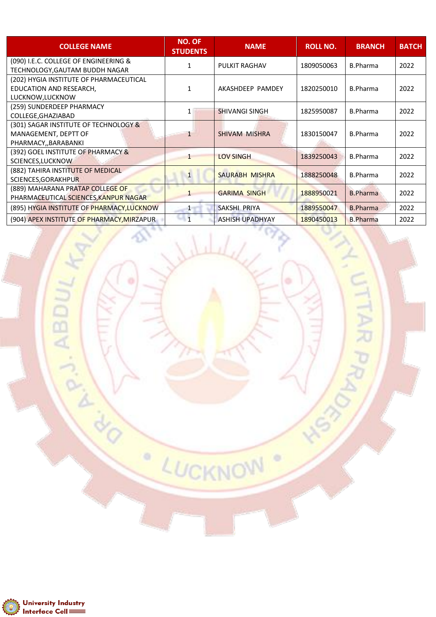| <b>COLLEGE NAME</b>                                                                    | NO. OF<br><b>STUDENTS</b> | <b>NAME</b>            | <b>ROLL NO.</b> | <b>BRANCH</b>   | <b>BATCH</b> |
|----------------------------------------------------------------------------------------|---------------------------|------------------------|-----------------|-----------------|--------------|
| (090) I.E.C. COLLEGE OF ENGINEERING &<br>TECHNOLOGY, GAUTAM BUDDH NAGAR                | 1                         | <b>PULKIT RAGHAV</b>   | 1809050063      | B.Pharma        | 2022         |
| (202) HYGIA INSTITUTE OF PHARMACEUTICAL<br>EDUCATION AND RESEARCH,<br>LUCKNOW, LUCKNOW | 1                         | AKASHDEEP PAMDEY       | 1820250010      | <b>B.Pharma</b> | 2022         |
| (259) SUNDERDEEP PHARMACY<br>COLLEGE, GHAZIABAD                                        | 1                         | <b>SHIVANGI SINGH</b>  | 1825950087      | B.Pharma        | 2022         |
| (301) SAGAR INSTITUTE OF TECHNOLOGY &<br>MANAGEMENT, DEPTT OF<br>PHARMACY, BARABANKI   | $\mathbf{1}$              | <b>SHIVAM MISHRA</b>   | 1830150047      | <b>B.Pharma</b> | 2022         |
| (392) GOEL INSTITUTE OF PHARMACY &<br>SCIENCES, LUCKNOW                                | 1                         | <b>LOV SINGH</b>       | 1839250043      | B.Pharma        | 2022         |
| (882) TAHIRA INSTITUTE OF MEDICAL<br>SCIENCES, GORAKHPUR                               | $\mathbf{1}$              | <b>SAURABH MISHRA</b>  | 1888250048      | <b>B.Pharma</b> | 2022         |
| (889) MAHARANA PRATAP COLLEGE OF<br>PHARMACEUTICAL SCIENCES, KANPUR NAGAR              |                           | <b>GARIMA SINGH</b>    | 1888950021      | <b>B.Pharma</b> | 2022         |
| (895) HYGIA INSTITUTE OF PHARMACY, LUCKNOW                                             | $\mathbf 1$               | SAKSHI PRIYA           | 1889550047      | <b>B.Pharma</b> | 2022         |
| (904) APEX INSTITUTE OF PHARMACY, MIRZAPUR                                             | $\overline{1}$            | <b>ASHISH UPADHYAY</b> | 1890450013      | <b>B.Pharma</b> | 2022         |

al ...

LUCKNOW

ö

0

UTTAR PRA



ASY CRIPTING ASSESSMENT

ö